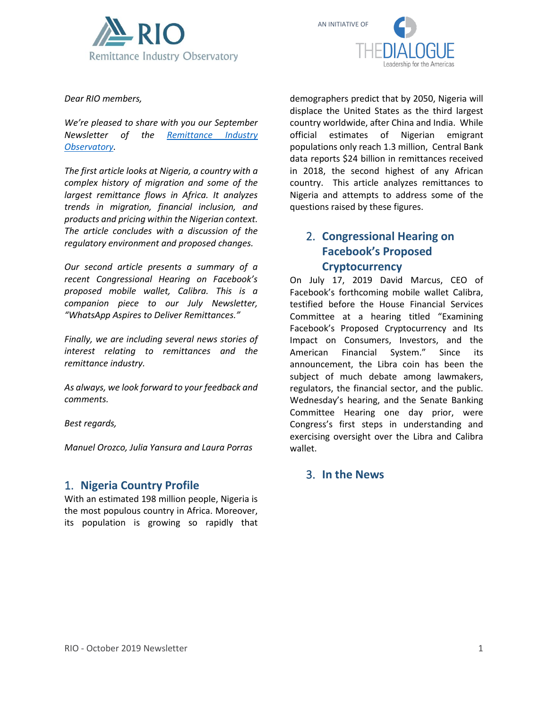



*Dear RIO members,*

*We're pleased to share with you our September Newsletter of the [Remittance Industry](https://www.thedialogue.org/current-projects/remittance-industry-observatory/)  [Observatory.](https://www.thedialogue.org/current-projects/remittance-industry-observatory/)* 

*The first article looks at Nigeria, a country with a complex history of migration and some of the largest remittance flows in Africa. It analyzes trends in migration, financial inclusion, and products and pricing within the Nigerian context. The article concludes with a discussion of the regulatory environment and proposed changes.* 

*Our second article presents a summary of a recent Congressional Hearing on Facebook's proposed mobile wallet, Calibra. This is a companion piece to our July Newsletter, "WhatsApp Aspires to Deliver Remittances."*

*Finally, we are including several news stories of interest relating to remittances and the remittance industry.* 

*As always, we look forward to your feedback and comments.*

*Best regards,*

*Manuel Orozco, Julia Yansura and Laura Porras*

# 1. **Nigeria Country Profile**

With an estimated 198 million people, Nigeria is the most populous country in Africa. Moreover, its population is growing so rapidly that demographers predict that by 2050, Nigeria will displace the United States as the third largest country worldwide, after China and India. While official estimates of Nigerian emigrant populations only reach 1.3 million, Central Bank data reports \$24 billion in remittances received in 2018, the second highest of any African country. This article analyzes remittances to Nigeria and attempts to address some of the questions raised by these figures.

# 2. **Congressional Hearing on Facebook's Proposed Cryptocurrency**

On July 17, 2019 David Marcus, CEO of Facebook's forthcoming mobile wallet Calibra, testified before the House Financial Services Committee at a hearing titled "Examining Facebook's Proposed Cryptocurrency and Its Impact on Consumers, Investors, and the American Financial System." Since its announcement, the Libra coin has been the subject of much debate among lawmakers, regulators, the financial sector, and the public. Wednesday's hearing, and the Senate Banking Committee Hearing one day prior, were Congress's first steps in understanding and exercising oversight over the Libra and Calibra wallet.

## 3. **In the News**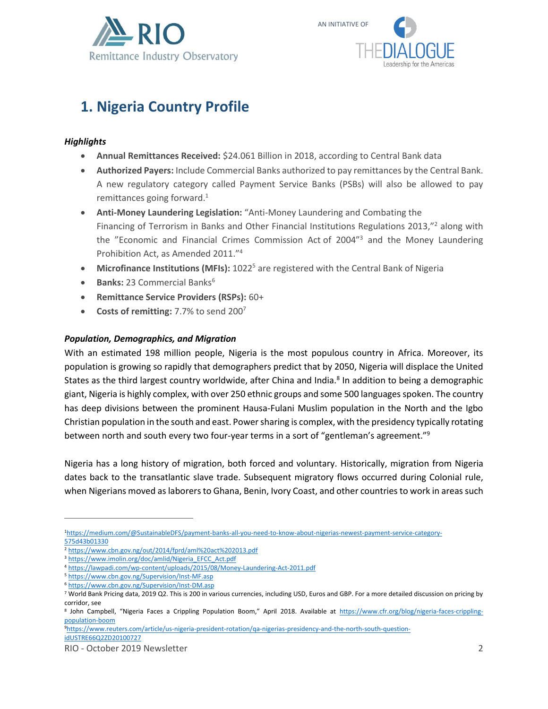



# **1. Nigeria Country Profile**

### *Highlights*

- **Annual Remittances Received:** \$24.061 Billion in 2018, according to Central Bank data
- **Authorized Payers:** Include Commercial Banks authorized to pay remittances by the Central Bank. A new regulatory category called Payment Service Banks (PSBs) will also be allowed to pay remittances going forward.<sup>1</sup>
- **Anti-Money Laundering Legislation:** "Anti-Money Laundering and Combating the Financing of Terrorism in Banks and Other Financial Institutions Regulations 2013,"<sup>2</sup> along with the "Economic and Financial Crimes Commission Act of 2004"<sup>3</sup> and the Money Laundering Prohibition Act, as Amended 2011."<sup>4</sup>
- Microfinance Institutions (MFIs): 1022<sup>5</sup> are registered with the Central Bank of Nigeria
- **Banks: 23 Commercial Banks<sup>6</sup>**
- **Remittance Service Providers (RSPs):** 60+
- **Costs of remitting:** 7.7% to send 200<sup>7</sup>

### *Population, Demographics, and Migration*

With an estimated 198 million people, Nigeria is the most populous country in Africa. Moreover, its population is growing so rapidly that demographers predict that by 2050, Nigeria will displace the United States as the third largest country worldwide, after China and India.<sup>8</sup> In addition to being a demographic giant, Nigeria is highly complex, with over 250 ethnic groups and some 500 languages spoken. The country has deep divisions between the prominent Hausa-Fulani Muslim population in the North and the Igbo Christian population in the south and east. Power sharing is complex, with the presidency typically rotating between north and south every two four-year terms in a sort of "gentleman's agreement."<sup>9</sup>

Nigeria has a long history of migration, both forced and voluntary. Historically, migration from Nigeria dates back to the transatlantic slave trade. Subsequent migratory flows occurred during Colonial rule, when Nigerians moved as laborers to Ghana, Benin, Ivory Coast, and other countries to work in areas such

9[https://www.reuters.com/article/us-nigeria-president-rotation/qa-nigerias-presidency-and-the-north-south-question](https://www.reuters.com/article/us-nigeria-president-rotation/qa-nigerias-presidency-and-the-north-south-question-idUSTRE66Q2ZD20100727)[idUSTRE66Q2ZD20100727](https://www.reuters.com/article/us-nigeria-president-rotation/qa-nigerias-presidency-and-the-north-south-question-idUSTRE66Q2ZD20100727)

<sup>1</sup>[https://medium.com/@SustainableDFS/payment-banks-all-you-need-to-know-about-nigerias-newest-payment-service-category-](https://medium.com/@SustainableDFS/payment-banks-all-you-need-to-know-about-nigerias-newest-payment-service-category-575d43b01330)[575d43b01330](https://medium.com/@SustainableDFS/payment-banks-all-you-need-to-know-about-nigerias-newest-payment-service-category-575d43b01330)

<sup>2</sup> <https://www.cbn.gov.ng/out/2014/fprd/aml%20act%202013.pdf>

<sup>3</sup> [https://www.imolin.org/doc/amlid/Nigeria\\_EFCC\\_Act.pdf](https://www.imolin.org/doc/amlid/Nigeria_EFCC_Act.pdf)

<sup>4</sup> <https://lawpadi.com/wp-content/uploads/2015/08/Money-Laundering-Act-2011.pdf>

<sup>5</sup> <https://www.cbn.gov.ng/Supervision/Inst-MF.asp>

<sup>6</sup> <https://www.cbn.gov.ng/Supervision/Inst-DM.asp>

<sup>7</sup> World Bank Pricing data, 2019 Q2. This is 200 in various currencies, including USD, Euros and GBP. For a more detailed discussion on pricing by corridor, see

<sup>&</sup>lt;sup>8</sup> John Campbell, "Nigeria Faces a Crippling Population Boom," April 2018. Available at [https://www.cfr.org/blog/nigeria-faces-crippling](https://www.cfr.org/blog/nigeria-faces-crippling-population-boom)[population-boom](https://www.cfr.org/blog/nigeria-faces-crippling-population-boom)

RIO - October 2019 Newsletter 2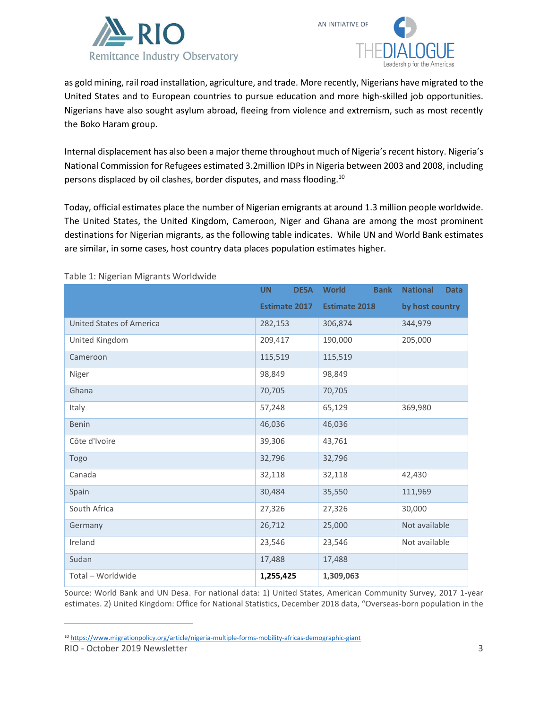



as gold mining, rail road installation, agriculture, and trade. More recently, Nigerians have migrated to the United States and to European countries to pursue education and more high-skilled job opportunities. Nigerians have also sought asylum abroad, fleeing from violence and extremism, such as most recently the Boko Haram group.

Internal displacement has also been a major theme throughout much of Nigeria's recent history. Nigeria's National Commission for Refugees estimated 3.2million IDPs in Nigeria between 2003 and 2008, including persons displaced by oil clashes, border disputes, and mass flooding.<sup>10</sup>

Today, official estimates place the number of Nigerian emigrants at around 1.3 million people worldwide. The United States, the United Kingdom, Cameroon, Niger and Ghana are among the most prominent destinations for Nigerian migrants, as the following table indicates. While UN and World Bank estimates are similar, in some cases, host country data places population estimates higher.

|                                 | <b>UN</b><br><b>DESA</b> | <b>World</b><br><b>Bank</b> | <b>National</b><br><b>Data</b> |
|---------------------------------|--------------------------|-----------------------------|--------------------------------|
|                                 | <b>Estimate 2017</b>     | <b>Estimate 2018</b>        | by host country                |
| <b>United States of America</b> | 282,153                  | 306,874                     | 344,979                        |
| United Kingdom                  | 209,417                  | 190,000                     | 205,000                        |
| Cameroon                        | 115,519                  | 115,519                     |                                |
| Niger                           | 98,849                   | 98,849                      |                                |
| Ghana                           | 70,705                   | 70,705                      |                                |
| Italy                           | 57,248                   | 65,129                      | 369,980                        |
| <b>Benin</b>                    | 46,036                   | 46,036                      |                                |
| Côte d'Ivoire                   | 39,306                   | 43,761                      |                                |
| Togo                            | 32,796                   | 32,796                      |                                |
| Canada                          | 32,118                   | 32,118                      | 42,430                         |
| Spain                           | 30,484                   | 35,550                      | 111,969                        |
| South Africa                    | 27,326                   | 27,326                      | 30,000                         |
| Germany                         | 26,712                   | 25,000                      | Not available                  |
| Ireland                         | 23,546                   | 23,546                      | Not available                  |
| Sudan                           | 17,488                   | 17,488                      |                                |
| Total - Worldwide               | 1,255,425                | 1,309,063                   |                                |

Table 1: Nigerian Migrants Worldwide

Source: World Bank and UN Desa. For national data: 1) United States, American Community Survey, 2017 1-year estimates. 2) United Kingdom: Office for National Statistics, December 2018 data, "Overseas-born population in the

<sup>10</sup> <https://www.migrationpolicy.org/article/nigeria-multiple-forms-mobility-africas-demographic-giant>

RIO - October 2019 Newsletter 3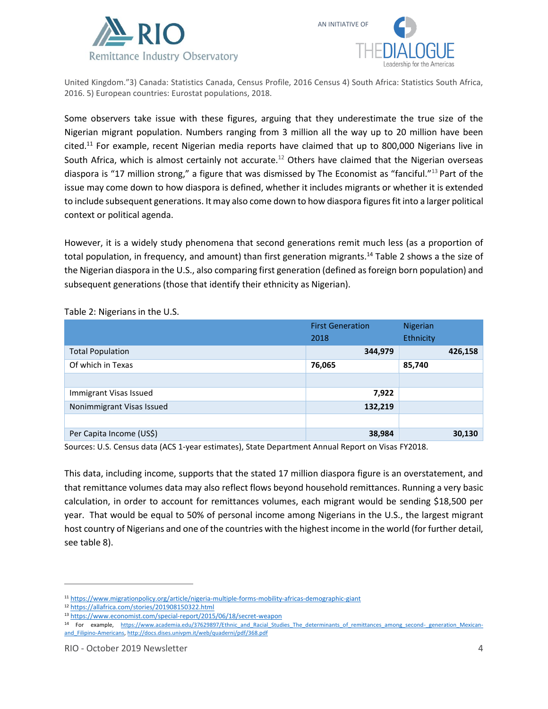



United Kingdom."3) Canada: Statistics Canada, Census Profile, 2016 Census 4) South Africa: Statistics South Africa, 2016. 5) European countries: Eurostat populations, 2018.

Some observers take issue with these figures, arguing that they underestimate the true size of the Nigerian migrant population. Numbers ranging from 3 million all the way up to 20 million have been cited.<sup>11</sup> For example, recent Nigerian media reports have claimed that up to 800,000 Nigerians live in South Africa, which is almost certainly not accurate.<sup>12</sup> Others have claimed that the Nigerian overseas diaspora is "17 million strong," a figure that was dismissed by The Economist as "fanciful."<sup>13</sup> Part of the issue may come down to how diaspora is defined, whether it includes migrants or whether it is extended to include subsequent generations. It may also come down to how diaspora figures fit into a larger political context or political agenda.

However, it is a widely study phenomena that second generations remit much less (as a proportion of total population, in frequency, and amount) than first generation migrants.<sup>14</sup> Table 2 shows a the size of the Nigerian diaspora in the U.S., also comparing first generation (defined as foreign born population) and subsequent generations (those that identify their ethnicity as Nigerian).

|                           | <b>First Generation</b> | Nigerian  |         |
|---------------------------|-------------------------|-----------|---------|
|                           | 2018                    | Ethnicity |         |
| <b>Total Population</b>   | 344,979                 |           | 426,158 |
| Of which in Texas         | 76,065                  | 85,740    |         |
|                           |                         |           |         |
| Immigrant Visas Issued    | 7,922                   |           |         |
| Nonimmigrant Visas Issued | 132,219                 |           |         |
|                           |                         |           |         |
| Per Capita Income (US\$)  | 38,984                  |           | 30,130  |

Table 2: Nigerians in the U.S.

Sources: U.S. Census data (ACS 1-year estimates), State Department Annual Report on Visas FY2018.

This data, including income, supports that the stated 17 million diaspora figure is an overstatement, and that remittance volumes data may also reflect flows beyond household remittances. Running a very basic calculation, in order to account for remittances volumes, each migrant would be sending \$18,500 per year. That would be equal to 50% of personal income among Nigerians in the U.S., the largest migrant host country of Nigerians and one of the countries with the highest income in the world (for further detail, see table 8).

<sup>11</sup> <https://www.migrationpolicy.org/article/nigeria-multiple-forms-mobility-africas-demographic-giant>

<sup>12</sup> <https://allafrica.com/stories/201908150322.html>

<sup>13</sup> <https://www.economist.com/special-report/2015/06/18/secret-weapon>

<sup>14</sup> For example, https://www.academia.edu/37629897/Ethnic and Racial Studies The determinants of remittances among second- generation Mexican[and\\_Filipino-Americans,](https://www.academia.edu/37629897/Ethnic_and_Racial_Studies_The_determinants_of_remittances_among_second-_generation_Mexican-and_Filipino-Americans)<http://docs.dises.univpm.it/web/quaderni/pdf/368.pdf>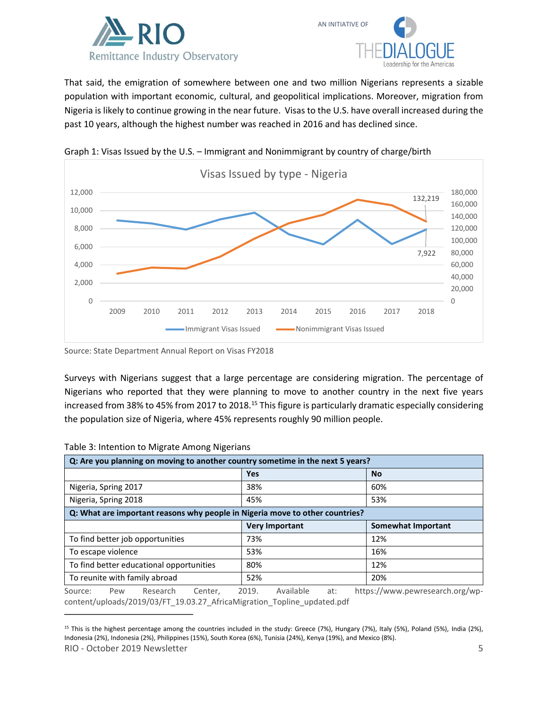



That said, the emigration of somewhere between one and two million Nigerians represents a sizable population with important economic, cultural, and geopolitical implications. Moreover, migration from Nigeria is likely to continue growing in the near future. Visas to the U.S. have overall increased during the past 10 years, although the highest number was reached in 2016 and has declined since.



Graph 1: Visas Issued by the U.S. – Immigrant and Nonimmigrant by country of charge/birth

Source: State Department Annual Report on Visas FY2018

Surveys with Nigerians suggest that a large percentage are considering migration. The percentage of Nigerians who reported that they were planning to move to another country in the next five years increased from 38% to 45% from 2017 to 2018.<sup>15</sup> This figure is particularly dramatic especially considering the population size of Nigeria, where 45% represents roughly 90 million people.

|                                                                              |                      | Q: Are you planning on moving to another country sometime in the next 5 years? |         |            |                       |     |     |                                 |
|------------------------------------------------------------------------------|----------------------|--------------------------------------------------------------------------------|---------|------------|-----------------------|-----|-----|---------------------------------|
|                                                                              |                      |                                                                                |         | <b>Yes</b> |                       |     |     | <b>No</b>                       |
|                                                                              | Nigeria, Spring 2017 |                                                                                |         | 38%        |                       |     |     | 60%                             |
| Nigeria, Spring 2018                                                         |                      |                                                                                | 45%     |            |                       |     | 53% |                                 |
| Q: What are important reasons why people in Nigeria move to other countries? |                      |                                                                                |         |            |                       |     |     |                                 |
|                                                                              |                      |                                                                                |         |            | <b>Very Important</b> |     |     | <b>Somewhat Important</b>       |
|                                                                              |                      | To find better job opportunities                                               |         | 73%        |                       |     |     | 12%                             |
|                                                                              | To escape violence   |                                                                                |         | 53%        |                       |     |     | 16%                             |
| To find better educational opportunities                                     |                      | 80%                                                                            |         |            |                       | 12% |     |                                 |
|                                                                              |                      | To reunite with family abroad                                                  |         | 52%        |                       |     |     | 20%                             |
| Source:                                                                      | Pew                  | Research                                                                       | Center, | 2019.      | Available             | at: |     | https://www.pewresearch.org/wp- |

#### Table 3: Intention to Migrate Among Nigerians

[content/uploads/2019/03/FT\\_19.03.27\\_AfricaMigration\\_Topline\\_updated.pdf](https://www.pewresearch.org/wp-content/uploads/2019/03/FT_19.03.27_AfricaMigration_Topline_updated.pdf)

RIO - October 2019 Newsletter 5 <sup>15</sup> This is the highest percentage among the countries included in the study: Greece (7%), Hungary (7%), Italy (5%), Poland (5%), India (2%), Indonesia (2%), Indonesia (2%), Philippines (15%), South Korea (6%), Tunisia (24%), Kenya (19%), and Mexico (8%).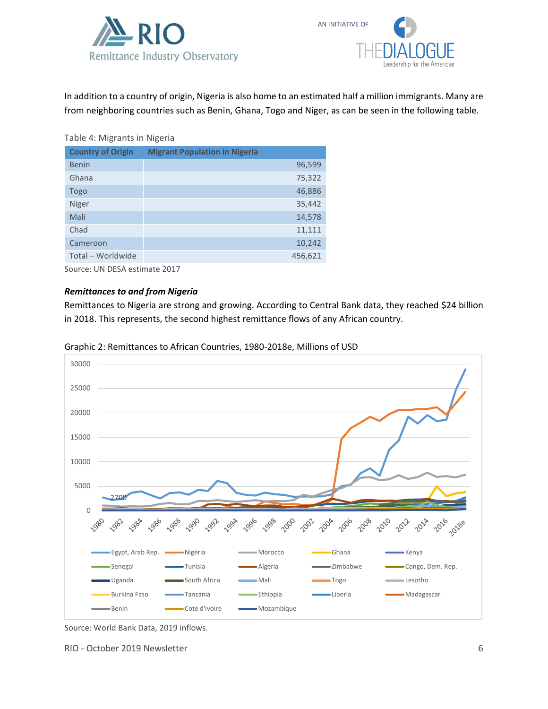



In addition to a country of origin, Nigeria is also home to an estimated half a million immigrants. Many are from neighboring countries such as Benin, Ghana, Togo and Niger, as can be seen in the following table.

#### Table 4: Migrants in Nigeria

| <b>Country of Origin</b> | <b>Migrant Population in Nigeria</b> |
|--------------------------|--------------------------------------|
| Benin                    | 96,599                               |
| Ghana                    | 75,322                               |
| Togo                     | 46,886                               |
| <b>Niger</b>             | 35,442                               |
| Mali                     | 14,578                               |
| Chad                     | 11,111                               |
| Cameroon                 | 10,242                               |
| Total - Worldwide        | 456,621                              |
|                          |                                      |

Source: UN DESA estimate 2017

#### *Remittances to and from Nigeria*

Remittances to Nigeria are strong and growing. According to Central Bank data, they reached \$24 billion in 2018. This represents, the second highest remittance flows of any African country.



Graphic 2: Remittances to African Countries, 1980-2018e, Millions of USD

RIO - October 2019 Newsletter 6

Source: World Bank Data, 2019 inflows.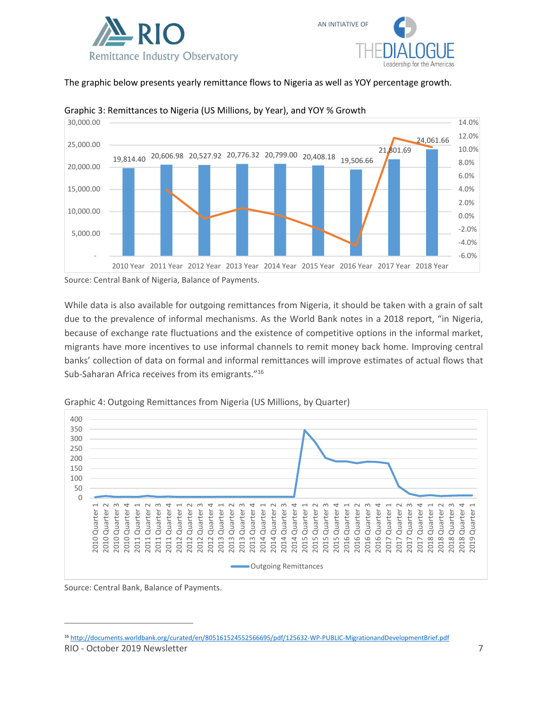



The graphic below presents yearly remittance flows to Nigeria as well as YOY percentage growth.



#### Graphic 3: Remittances to Nigeria (US Millions, by Year), and YOY % Growth

Source: Central Bank of Nigeria, Balance of Payments.

While data is also available for outgoing remittances from Nigeria, it should be taken with a grain of salt due to the prevalence of informal mechanisms. As the World Bank notes in a 2018 report, "in Nigeria, because of exchange rate fluctuations and the existence of competitive options in the informal market, migrants have more incentives to use informal channels to remit money back home. Improving central banks' collection of data on formal and informal remittances will improve estimates of actual flows that Sub-Saharan Africa receives from its emigrants."<sup>16</sup>



Graphic 4: Outgoing Remittances from Nigeria (US Millions, by Quarter)

Source: Central Bank, Balance of Payments.

RIO - October 2019 Newsletter 7 <sup>16</sup> <http://documents.worldbank.org/curated/en/805161524552566695/pdf/125632-WP-PUBLIC-MigrationandDevelopmentBrief.pdf>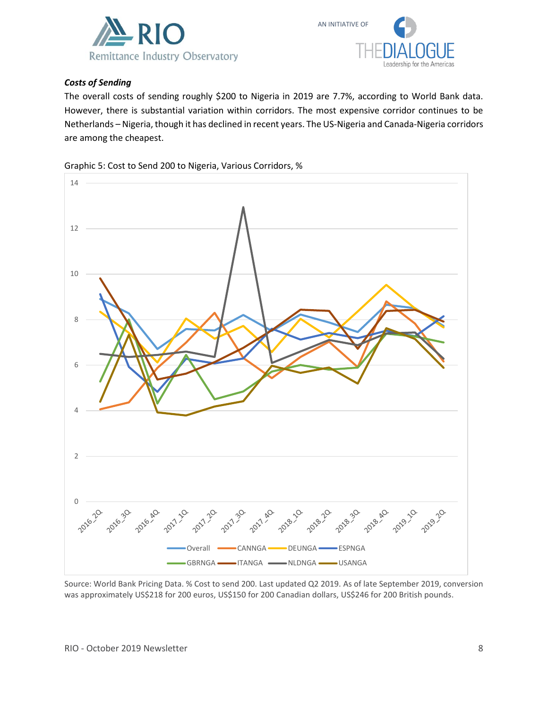



### *Costs of Sending*

The overall costs of sending roughly \$200 to Nigeria in 2019 are 7.7%, according to World Bank data. However, there is substantial variation within corridors. The most expensive corridor continues to be Netherlands – Nigeria, though it has declined in recent years. The US-Nigeria and Canada-Nigeria corridors are among the cheapest.





Source: World Bank Pricing Data. % Cost to send 200. Last updated Q2 2019. As of late September 2019, conversion was approximately US\$218 for 200 euros, US\$150 for 200 Canadian dollars, US\$246 for 200 British pounds.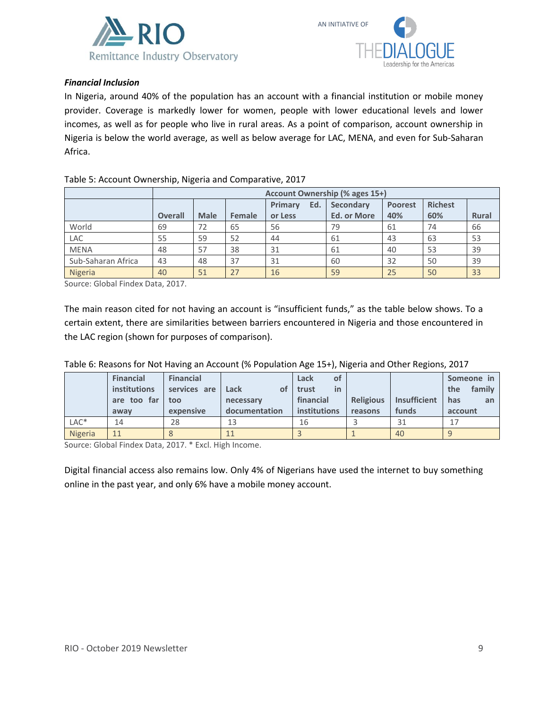



#### *Financial Inclusion*

In Nigeria, around 40% of the population has an account with a financial institution or mobile money provider. Coverage is markedly lower for women, people with lower educational levels and lower incomes, as well as for people who live in rural areas. As a point of comparison, account ownership in Nigeria is below the world average, as well as below average for LAC, MENA, and even for Sub-Saharan Africa.

|                    |                | Account Ownership (% ages 15+) |        |                |                    |                |                |              |  |
|--------------------|----------------|--------------------------------|--------|----------------|--------------------|----------------|----------------|--------------|--|
|                    |                |                                |        | Primary<br>Ed. | <b>Secondary</b>   | <b>Poorest</b> | <b>Richest</b> |              |  |
|                    | <b>Overall</b> | <b>Male</b>                    | Female | or Less        | <b>Ed. or More</b> | 40%            | 60%            | <b>Rural</b> |  |
| World              | 69             | 72                             | 65     | 56             | 79                 | 61             | 74             | 66           |  |
| LAC                | 55             | 59                             | 52     | 44             | 61                 | 43             | 63             | 53           |  |
| <b>MENA</b>        | 48             | 57                             | 38     | 31             | 61                 | 40             | 53             | 39           |  |
| Sub-Saharan Africa | 43             | 48                             | 37     | 31             | 60                 | 32             | 50             | 39           |  |
| Nigeria            | 40             | 51                             | 27     | 16             | 59                 | 25             | 50             | 33           |  |

#### Table 5: Account Ownership, Nigeria and Comparative, 2017

Source: Global Findex Data, 2017.

The main reason cited for not having an account is "insufficient funds," as the table below shows. To a certain extent, there are similarities between barriers encountered in Nigeria and those encountered in the LAC region (shown for purposes of comparison).

|                  | <b>Financial</b>    | <b>Financial</b> |               | Lack<br>οf   |                  |              | Someone in    |
|------------------|---------------------|------------------|---------------|--------------|------------------|--------------|---------------|
|                  | <b>institutions</b> | services are     | Lack<br>of    | trust<br>in  |                  |              | family<br>the |
|                  | are too far         | too              | necessary     | financial    | <b>Religious</b> | Insufficient | has<br>an     |
|                  | away                | expensive        | documentation | institutions | reasons          | funds        | account       |
| LAC <sup>*</sup> | 14                  | 28               | 13            | 16           |                  | 31           |               |
| Nigeria          | 11                  |                  | 11            |              |                  | 40           |               |

Table 6: Reasons for Not Having an Account (% Population Age 15+), Nigeria and Other Regions, 2017

Source: Global Findex Data, 2017. \* Excl. High Income.

Digital financial access also remains low. Only 4% of Nigerians have used the internet to buy something online in the past year, and only 6% have a mobile money account.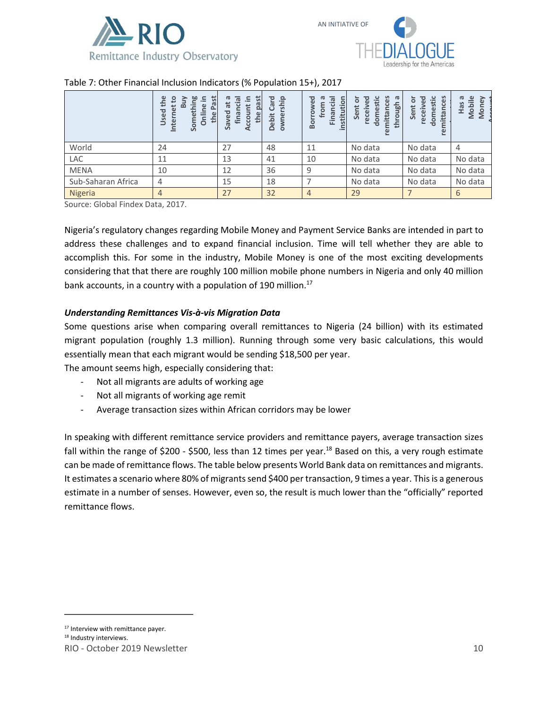



### Table 7: Other Financial Inclusion Indicators (% Population 15+), 2017

|                    | Past<br>the<br>≌<br>ខ<br>.드<br>$\mathbf{\Omega}$<br>$\mathbf \omega$<br>Internet<br>Used<br>Someth<br>the<br>Ō | $\overline{\sigma}$<br>ᡕᢐ<br>5<br>.드<br>$\vec{a}$<br>$\overline{2}$<br>$\bullet$<br>finan<br>Saved<br>コ<br>the<br>goo<br>⋖ | 은.<br>혼<br>൹<br>ᢦ<br>Debit | ΘÓ<br>institution<br>ᠭᠣ<br><u>ក្ខ</u><br>row<br>fror<br>Finan<br>Boi | ပ္ပိ<br>domestic<br>$\sigma$<br>핑<br>ō<br>through<br>receiv<br>Sent<br>ē.<br>remitt | nces<br>٠F<br>힒<br>ō<br>Sent<br>receiv<br>e<br>mittar<br>$\overline{a}$ | Mobile<br>$\sigma$<br>e<br>Has<br><b>S</b> |
|--------------------|----------------------------------------------------------------------------------------------------------------|----------------------------------------------------------------------------------------------------------------------------|----------------------------|----------------------------------------------------------------------|-------------------------------------------------------------------------------------|-------------------------------------------------------------------------|--------------------------------------------|
| World              | 24                                                                                                             | 27                                                                                                                         | 48                         | 11                                                                   | No data                                                                             | No data                                                                 | 4                                          |
| LAC                | 11                                                                                                             | 13                                                                                                                         | 41                         | 10                                                                   | No data                                                                             | No data                                                                 | No data                                    |
| <b>MENA</b>        | 10                                                                                                             | 12                                                                                                                         | 36                         | 9                                                                    | No data                                                                             | No data                                                                 | No data                                    |
| Sub-Saharan Africa | $\overline{4}$                                                                                                 | 15                                                                                                                         | 18                         |                                                                      | No data                                                                             | No data                                                                 | No data                                    |
| Nigeria            | 4                                                                                                              | 27                                                                                                                         | 32                         | $\overline{4}$                                                       | 29                                                                                  |                                                                         | 6                                          |

Source: Global Findex Data, 2017.

Nigeria's regulatory changes regarding Mobile Money and Payment Service Banks are intended in part to address these challenges and to expand financial inclusion. Time will tell whether they are able to accomplish this. For some in the industry, Mobile Money is one of the most exciting developments considering that that there are roughly 100 million mobile phone numbers in Nigeria and only 40 million bank accounts, in a country with a population of 190 million.<sup>17</sup>

#### *Understanding Remittances Vis-à-vis Migration Data*

Some questions arise when comparing overall remittances to Nigeria (24 billion) with its estimated migrant population (roughly 1.3 million). Running through some very basic calculations, this would essentially mean that each migrant would be sending \$18,500 per year.

The amount seems high, especially considering that:

- Not all migrants are adults of working age
- Not all migrants of working age remit
- Average transaction sizes within African corridors may be lower

In speaking with different remittance service providers and remittance payers, average transaction sizes fall within the range of \$200 - \$500, less than 12 times per year.<sup>18</sup> Based on this, a very rough estimate can be made of remittance flows. The table below presents World Bank data on remittances and migrants. It estimates a scenario where 80% of migrants send \$400 per transaction, 9 times a year. This is a generous estimate in a number of senses. However, even so, the result is much lower than the "officially" reported remittance flows.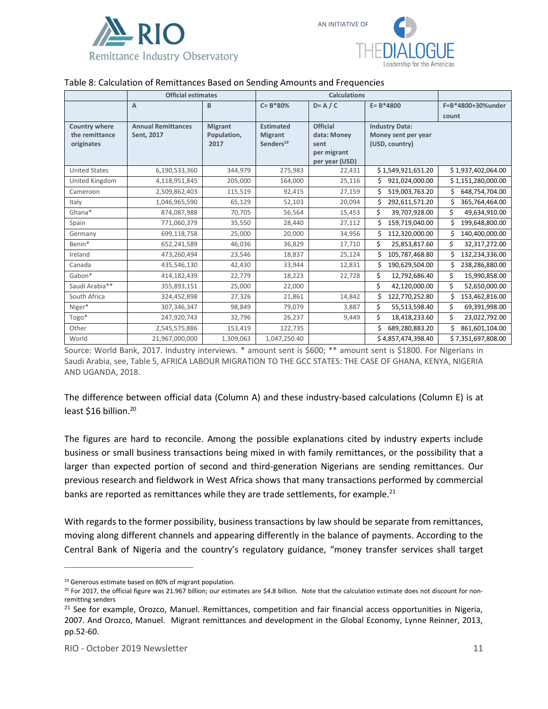

### Table 8: Calculation of Remittances Based on Sending Amounts and Frequencies

|                                                      | <b>Official estimates</b>               |                                       |                                                             |                                                                         |                                                                |                      |
|------------------------------------------------------|-----------------------------------------|---------------------------------------|-------------------------------------------------------------|-------------------------------------------------------------------------|----------------------------------------------------------------|----------------------|
|                                                      | $\overline{A}$                          | B                                     | $C = B*80%$                                                 | $D = A / C$                                                             | $E = B*4800$                                                   | F=B*4800+30%under    |
|                                                      |                                         |                                       |                                                             |                                                                         |                                                                | count                |
| <b>Country where</b><br>the remittance<br>originates | <b>Annual Remittances</b><br>Sent, 2017 | <b>Migrant</b><br>Population,<br>2017 | <b>Estimated</b><br><b>Migrant</b><br>Senders <sup>19</sup> | <b>Official</b><br>data: Money<br>sent<br>per migrant<br>per year (USD) | <b>Industry Data:</b><br>Money sent per year<br>(USD, country) |                      |
| <b>United States</b>                                 | 6,190,533,360                           | 344,979                               | 275,983                                                     | 22,431                                                                  | \$1,549,921,651.20                                             | \$1,937,402,064.00   |
| United Kingdom                                       | 4,118,951,845                           | 205,000                               | 164,000                                                     | 25,116                                                                  | Ś.<br>921,024,000.00                                           | \$1,151,280,000.00   |
| Cameroon                                             | 2,509,862,403                           | 115,519                               | 92,415                                                      | 27,159                                                                  | Ś<br>519,003,763.20                                            | Ś.<br>648,754,704.00 |
| Italy                                                | 1,046,965,590                           | 65,129                                | 52,103                                                      | 20,094                                                                  | Ś<br>292,611,571.20                                            | 365,764,464.00<br>Ś  |
| Ghana*                                               | 874,087,988                             | 70,705                                | 56,564                                                      | 15,453                                                                  | \$<br>39,707,928.00                                            | \$<br>49,634,910.00  |
| Spain                                                | 771,060,379                             | 35,550                                | 28,440                                                      | 27,112                                                                  | Ś.<br>159,719,040.00                                           | \$<br>199,648,800.00 |
| Germany                                              | 699,118,758                             | 25,000                                | 20,000                                                      | 34,956                                                                  | Ś<br>112,320,000.00                                            | Ś.<br>140,400,000.00 |
| Benin*                                               | 652,241,589                             | 46,036                                | 36,829                                                      | 17,710                                                                  | Ś.<br>25,853,817.60                                            | Ś.<br>32,317,272.00  |
| Ireland                                              | 473,260,494                             | 23,546                                | 18,837                                                      | 25,124                                                                  | Ś<br>105,787,468.80                                            | Ś<br>132,234,336.00  |
| Canada                                               | 435,546,130                             | 42,430                                | 33,944                                                      | 12,831                                                                  | Ś<br>190,629,504.00                                            | Ś.<br>238,286,880.00 |
| Gabon*                                               | 414,182,439                             | 22,779                                | 18,223                                                      | 22,728                                                                  | \$<br>12,792,686.40                                            | \$<br>15,990,858.00  |
| Saudi Arabia**                                       | 355,893,151                             | 25,000                                | 22,000                                                      |                                                                         | \$<br>42,120,000.00                                            | \$<br>52,650,000.00  |
| South Africa                                         | 324,452,898                             | 27,326                                | 21,861                                                      | 14,842                                                                  | Ś<br>122,770,252.80                                            | Ś.<br>153,462,816.00 |
| Niger*                                               | 307,346,347                             | 98,849                                | 79,079                                                      | 3,887                                                                   | \$<br>55,513,598.40                                            | Ś.<br>69,391,998.00  |
| Togo*                                                | 247,920,743                             | 32,796                                | 26,237                                                      | 9,449                                                                   | \$<br>18,418,233.60                                            | Ś.<br>23,022,792.00  |
| Other                                                | 2,545,575,886                           | 153,419                               | 122,735                                                     |                                                                         | Ś<br>689,280,883.20                                            | Ś.<br>861,601,104.00 |
| World                                                | 21,967,000,000                          | 1,309,063                             | 1,047,250.40                                                |                                                                         | \$4,857,474,398.40                                             | \$7,351,697,808.00   |

Source: World Bank, 2017. Industry interviews. \* amount sent is \$600; \*\* amount sent is \$1800. For Nigerians in Saudi Arabia, see, Table 5, AFRICA LABOUR MIGRATION TO THE GCC STATES: THE CASE OF GHANA, KENYA, NIGERIA AND UGANDA, 2018.

The difference between official data (Column A) and these industry-based calculations (Column E) is at least \$16 billion.<sup>20</sup>

The figures are hard to reconcile. Among the possible explanations cited by industry experts include business or small business transactions being mixed in with family remittances, or the possibility that a larger than expected portion of second and third-generation Nigerians are sending remittances. Our previous research and fieldwork in West Africa shows that many transactions performed by commercial banks are reported as remittances while they are trade settlements, for example. $^{21}$ 

With regards to the former possibility, business transactions by law should be separate from remittances, moving along different channels and appearing differently in the balance of payments. According to the Central Bank of Nigeria and the country's regulatory guidance, "money transfer services shall target

<sup>&</sup>lt;sup>19</sup> Generous estimate based on 80% of migrant population.

 $^{20}$  For 2017, the official figure was 21.967 billion; our estimates are \$4.8 billion. Note that the calculation estimate does not discount for nonremitting senders

<sup>&</sup>lt;sup>21</sup> See for example, Orozco, Manuel. Remittances, competition and fair financial access opportunities in Nigeria, 2007. And Orozco, Manuel. Migrant remittances and development in the Global Economy, Lynne Reinner, 2013, pp.52-60.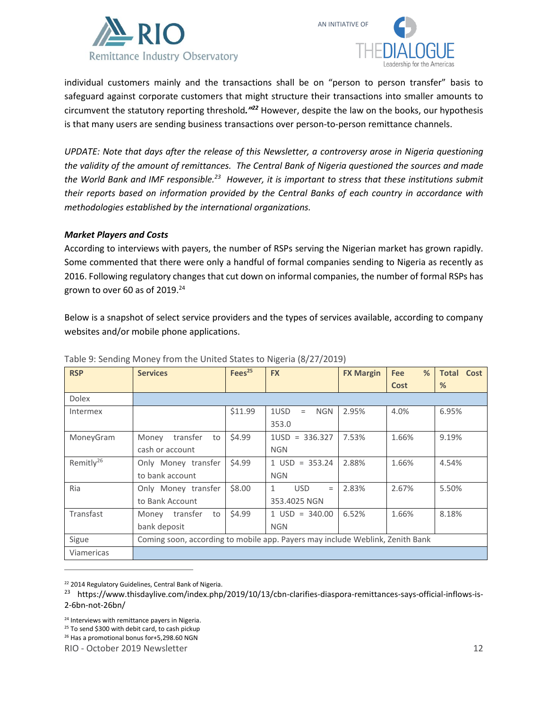



individual customers mainly and the transactions shall be on "person to person transfer" basis to safeguard against corporate customers that might structure their transactions into smaller amounts to circumvent the statutory reporting threshold*."<sup>22</sup>* However, despite the law on the books, our hypothesis is that many users are sending business transactions over person-to-person remittance channels.

*UPDATE: Note that days after the release of this Newsletter, a controversy arose in Nigeria questioning the validity of the amount of remittances. The Central Bank of Nigeria questioned the sources and made the World Bank and IMF responsible.<sup>23</sup> However, it is important to stress that these institutions submit their reports based on information provided by the Central Banks of each country in accordance with methodologies established by the international organizations.* 

### *Market Players and Costs*

According to interviews with payers, the number of RSPs serving the Nigerian market has grown rapidly. Some commented that there were only a handful of formal companies sending to Nigeria as recently as 2016. Following regulatory changes that cut down on informal companies, the number of formal RSPs has grown to over 60 as of 2019. $^{24}$ 

Below is a snapshot of select service providers and the types of services available, according to company websites and/or mobile phone applications.

| <b>RSP</b>            | <b>Services</b>                                                               | Fees <sup>25</sup> | <b>FX</b>                         | <b>FX Margin</b> | %<br><b>Fee</b> | <b>Total Cost</b> |
|-----------------------|-------------------------------------------------------------------------------|--------------------|-----------------------------------|------------------|-----------------|-------------------|
|                       |                                                                               |                    |                                   |                  | Cost            | %                 |
| <b>Dolex</b>          |                                                                               |                    |                                   |                  |                 |                   |
| <b>Intermex</b>       |                                                                               | \$11.99            | 1USD<br><b>NGN</b><br>$=$         | 2.95%            | 4.0%            | 6.95%             |
|                       |                                                                               |                    | 353.0                             |                  |                 |                   |
| MoneyGram             | transfer<br>Money<br>to                                                       | \$4.99             | $1USD = 336.327$                  | 7.53%            | 1.66%           | 9.19%             |
|                       | cash or account                                                               |                    | <b>NGN</b>                        |                  |                 |                   |
| Remitly <sup>26</sup> | Only Money transfer                                                           | \$4.99             | $1 \text{ USD} = 353.24$          | 2.88%            | 1.66%           | 4.54%             |
|                       | to bank account                                                               |                    | <b>NGN</b>                        |                  |                 |                   |
| <b>Ria</b>            | Only Money transfer                                                           | \$8.00             | <b>USD</b><br>$\mathbf{1}$<br>$=$ | 2.83%            | 2.67%           | 5.50%             |
|                       | to Bank Account                                                               |                    | 353.4025 NGN                      |                  |                 |                   |
| Transfast             | transfer<br>to<br>Money                                                       | \$4.99             | $1 \text{ USD} = 340.00$          | 6.52%            | 1.66%           | 8.18%             |
|                       | bank deposit                                                                  |                    | <b>NGN</b>                        |                  |                 |                   |
| Sigue                 | Coming soon, according to mobile app. Payers may include Weblink, Zenith Bank |                    |                                   |                  |                 |                   |
| Viamericas            |                                                                               |                    |                                   |                  |                 |                   |

Table 9: Sending Money from the United States to Nigeria (8/27/2019)

<sup>22</sup> 2014 Regulatory Guidelines, Central Bank of Nigeria.

<sup>24</sup> Interviews with remittance payers in Nigeria.

<sup>25</sup> To send \$300 with debit card, to cash pickup

<sup>26</sup> Has a promotional bonus for+5,298.60 NGN

RIO - October 2019 Newsletter 12

<sup>&</sup>lt;sup>23</sup> https://www.thisdaylive.com/index.php/2019/10/13/cbn-clarifies-diaspora-remittances-says-official-inflows-is-2-6bn-not-26bn/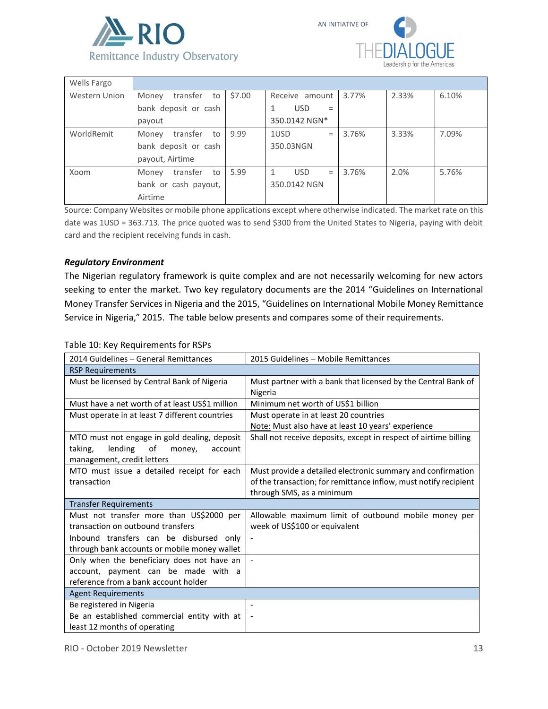



| Wells Fargo          |                         |        |                   |       |       |       |
|----------------------|-------------------------|--------|-------------------|-------|-------|-------|
| <b>Western Union</b> | transfer<br>Money<br>to | \$7.00 | Receive amount    | 3.77% | 2.33% | 6.10% |
|                      | bank deposit or cash    |        | <b>USD</b><br>=   |       |       |       |
|                      | payout                  |        | 350.0142 NGN*     |       |       |       |
| WorldRemit           | transfer<br>Money<br>to | 9.99   | 1USD<br>$=$       | 3.76% | 3.33% | 7.09% |
|                      | bank deposit or cash    |        | 350.03NGN         |       |       |       |
|                      | payout, Airtime         |        |                   |       |       |       |
| Xoom                 | transfer<br>Money<br>to | 5.99   | <b>USD</b><br>$=$ | 3.76% | 2.0%  | 5.76% |
|                      | bank or cash payout,    |        | 350.0142 NGN      |       |       |       |
|                      | Airtime                 |        |                   |       |       |       |

Source: Company Websites or mobile phone applications except where otherwise indicated. The market rate on this date was 1USD = 363.713. The price quoted was to send \$300 from the United States to Nigeria, paying with debit card and the recipient receiving funds in cash.

#### *Regulatory Environment*

The Nigerian regulatory framework is quite complex and are not necessarily welcoming for new actors seeking to enter the market. Two key regulatory documents are the 2014 "Guidelines on International Money Transfer Services in Nigeria and the 2015, "Guidelines on International Mobile Money Remittance Service in Nigeria," 2015. The table below presents and compares some of their requirements.

Table 10: Key Requirements for RSPs

| 2014 Guidelines - General Remittances           | 2015 Guidelines - Mobile Remittances                             |
|-------------------------------------------------|------------------------------------------------------------------|
| <b>RSP Requirements</b>                         |                                                                  |
| Must be licensed by Central Bank of Nigeria     | Must partner with a bank that licensed by the Central Bank of    |
|                                                 | Nigeria                                                          |
| Must have a net worth of at least US\$1 million | Minimum net worth of US\$1 billion                               |
| Must operate in at least 7 different countries  | Must operate in at least 20 countries                            |
|                                                 | Note: Must also have at least 10 years' experience               |
| MTO must not engage in gold dealing, deposit    | Shall not receive deposits, except in respect of airtime billing |
| lending<br>taking,<br>of<br>money,<br>account   |                                                                  |
| management, credit letters                      |                                                                  |
| MTO must issue a detailed receipt for each      | Must provide a detailed electronic summary and confirmation      |
| transaction                                     | of the transaction; for remittance inflow, must notify recipient |
|                                                 | through SMS, as a minimum                                        |
| <b>Transfer Requirements</b>                    |                                                                  |
| Must not transfer more than US\$2000 per        | Allowable maximum limit of outbound mobile money per             |
| transaction on outbound transfers               | week of US\$100 or equivalent                                    |
| Inbound transfers can be disbursed only         | $\overline{\phantom{a}}$                                         |
| through bank accounts or mobile money wallet    |                                                                  |
| Only when the beneficiary does not have an      |                                                                  |
| account, payment can be made with a             |                                                                  |
| reference from a bank account holder            |                                                                  |
| <b>Agent Requirements</b>                       |                                                                  |
| Be registered in Nigeria                        | $\blacksquare$                                                   |
| Be an established commercial entity with at     |                                                                  |
| least 12 months of operating                    |                                                                  |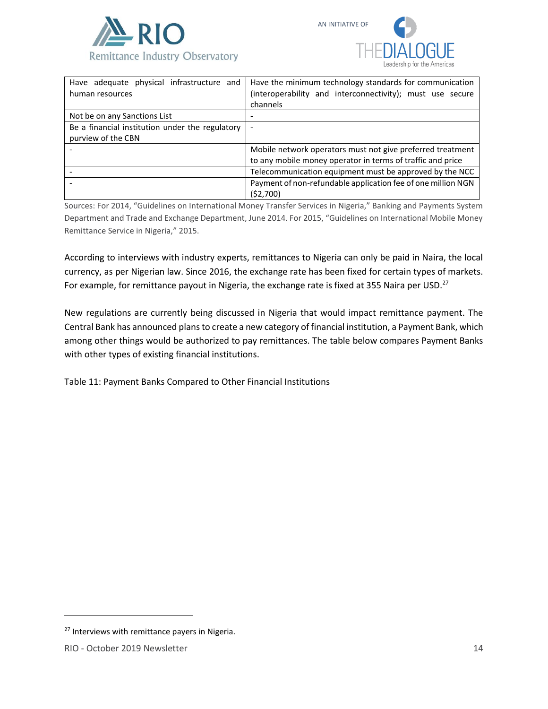



| Have adequate physical infrastructure and<br>human resources          | Have the minimum technology standards for communication<br>(interoperability and interconnectivity); must use secure<br>channels |
|-----------------------------------------------------------------------|----------------------------------------------------------------------------------------------------------------------------------|
| Not be on any Sanctions List                                          |                                                                                                                                  |
| Be a financial institution under the regulatory<br>purview of the CBN |                                                                                                                                  |
|                                                                       | Mobile network operators must not give preferred treatment<br>to any mobile money operator in terms of traffic and price         |
|                                                                       | Telecommunication equipment must be approved by the NCC                                                                          |
|                                                                       | Payment of non-refundable application fee of one million NGN<br>(52,700)                                                         |

Sources: For 2014, "Guidelines on International Money Transfer Services in Nigeria," Banking and Payments System Department and Trade and Exchange Department, June 2014. For 2015, "Guidelines on International Mobile Money Remittance Service in Nigeria," 2015.

According to interviews with industry experts, remittances to Nigeria can only be paid in Naira, the local currency, as per Nigerian law. Since 2016, the exchange rate has been fixed for certain types of markets. For example, for remittance payout in Nigeria, the exchange rate is fixed at 355 Naira per USD.<sup>27</sup>

New regulations are currently being discussed in Nigeria that would impact remittance payment. The Central Bank has announced plans to create a new category of financial institution, a Payment Bank, which among other things would be authorized to pay remittances. The table below compares Payment Banks with other types of existing financial institutions.

Table 11: Payment Banks Compared to Other Financial Institutions

<sup>&</sup>lt;sup>27</sup> Interviews with remittance payers in Nigeria.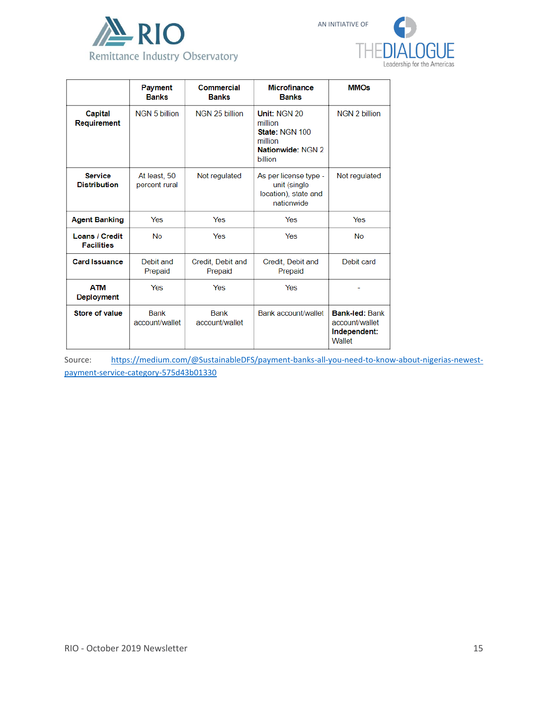



|                                            | <b>Payment</b><br><b>Banks</b> | Commercial<br><b>Banks</b>    | <b>Microfinance</b><br><b>Banks</b>                                                  | <b>MMOs</b>                                                       |
|--------------------------------------------|--------------------------------|-------------------------------|--------------------------------------------------------------------------------------|-------------------------------------------------------------------|
| <b>Capital</b><br>Requirement              | NGN 5 billion                  | NGN 25 billion                | Unit: NGN 20<br>million<br>State: NGN 100<br>million<br>Nationwide: NGN 2<br>billion | NGN 2 billion                                                     |
| <b>Service</b><br><b>Distribution</b>      | At least, 50<br>percent rural  | Not regulated                 | As per license type -<br>unit (single<br>location), state and<br>nationwide          | Not regulated                                                     |
| <b>Agent Banking</b>                       | Yes                            | Yes                           | Yes                                                                                  | Yes                                                               |
| <b>Loans / Credit</b><br><b>Facilities</b> | <b>No</b>                      | Yes                           | Yes                                                                                  | <b>No</b>                                                         |
| <b>Card Issuance</b>                       | Debit and<br>Prepaid           | Credit, Debit and<br>Prepaid  | Credit, Debit and<br>Prepaid                                                         | Debit card                                                        |
| <b>ATM</b><br><b>Deployment</b>            | Yes                            | Yes                           | Yes                                                                                  |                                                                   |
| <b>Store of value</b>                      | <b>Bank</b><br>account/wallet  | <b>Bank</b><br>account/wallet | Bank account/wallet                                                                  | <b>Bank-led: Bank</b><br>account/wallet<br>Independent:<br>Wallet |

Source: [https://medium.com/@SustainableDFS/payment-banks-all-you-need-to-know-about-nigerias-newest](https://medium.com/@SustainableDFS/payment-banks-all-you-need-to-know-about-nigerias-newest-payment-service-category-575d43b01330)[payment-service-category-575d43b01330](https://medium.com/@SustainableDFS/payment-banks-all-you-need-to-know-about-nigerias-newest-payment-service-category-575d43b01330)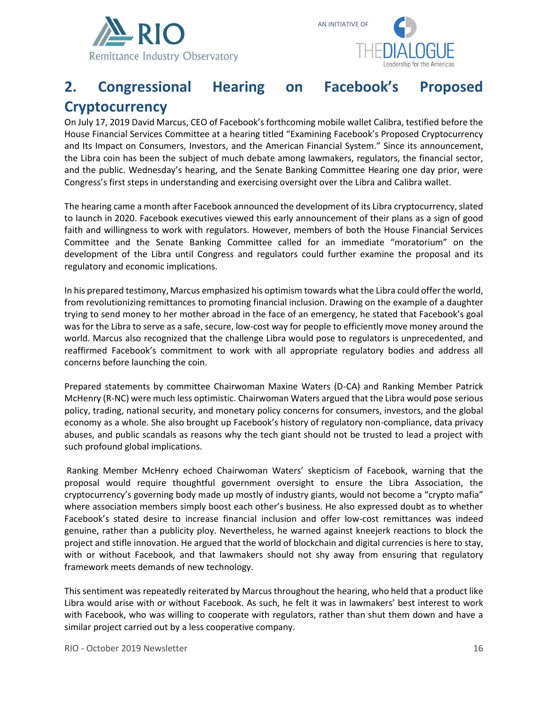



# **2. Congressional Hearing on Facebook's Proposed Cryptocurrency**

On July 17, 2019 David Marcus, CEO of Facebook's forthcoming mobile wallet Calibra, testified before the House Financial Services Committee at a hearing titled "Examining Facebook's Proposed Cryptocurrency and Its Impact on Consumers, Investors, and the American Financial System." Since its announcement, the Libra coin has been the subject of much debate among lawmakers, regulators, the financial sector, and the public. Wednesday's hearing, and the Senate Banking Committee Hearing one day prior, were Congress's first steps in understanding and exercising oversight over the Libra and Calibra wallet.

The hearing came a month after Facebook announced the development of its Libra cryptocurrency, slated to launch in 2020. Facebook executives viewed this early announcement of their plans as a sign of good faith and willingness to work with regulators. However, members of both the House Financial Services Committee and the Senate Banking Committee called for an immediate "moratorium" on the development of the Libra until Congress and regulators could further examine the proposal and its regulatory and economic implications.

In his prepared testimony, Marcus emphasized his optimism towards what the Libra could offer the world, from revolutionizing remittances to promoting financial inclusion. Drawing on the example of a daughter trying to send money to her mother abroad in the face of an emergency, he stated that Facebook's goal was for the Libra to serve as a safe, secure, low-cost way for people to efficiently move money around the world. Marcus also recognized that the challenge Libra would pose to regulators is unprecedented, and reaffirmed Facebook's commitment to work with all appropriate regulatory bodies and address all concerns before launching the coin.

Prepared statements by committee Chairwoman Maxine Waters (D-CA) and Ranking Member Patrick McHenry (R-NC) were much less optimistic. Chairwoman Waters argued that the Libra would pose serious policy, trading, national security, and monetary policy concerns for consumers, investors, and the global economy as a whole. She also brought up Facebook's history of regulatory non-compliance, data privacy abuses, and public scandals as reasons why the tech giant should not be trusted to lead a project with such profound global implications.

Ranking Member McHenry echoed Chairwoman Waters' skepticism of Facebook, warning that the proposal would require thoughtful government oversight to ensure the Libra Association, the cryptocurrency's governing body made up mostly of industry giants, would not become a "crypto mafia" where association members simply boost each other's business. He also expressed doubt as to whether Facebook's stated desire to increase financial inclusion and offer low-cost remittances was indeed genuine, rather than a publicity ploy. Nevertheless, he warned against kneejerk reactions to block the project and stifle innovation. He argued that the world of blockchain and digital currencies is here to stay, with or without Facebook, and that lawmakers should not shy away from ensuring that regulatory framework meets demands of new technology.

This sentiment was repeatedly reiterated by Marcus throughout the hearing, who held that a product like Libra would arise with or without Facebook. As such, he felt it was in lawmakers' best interest to work with Facebook, who was willing to cooperate with regulators, rather than shut them down and have a similar project carried out by a less cooperative company.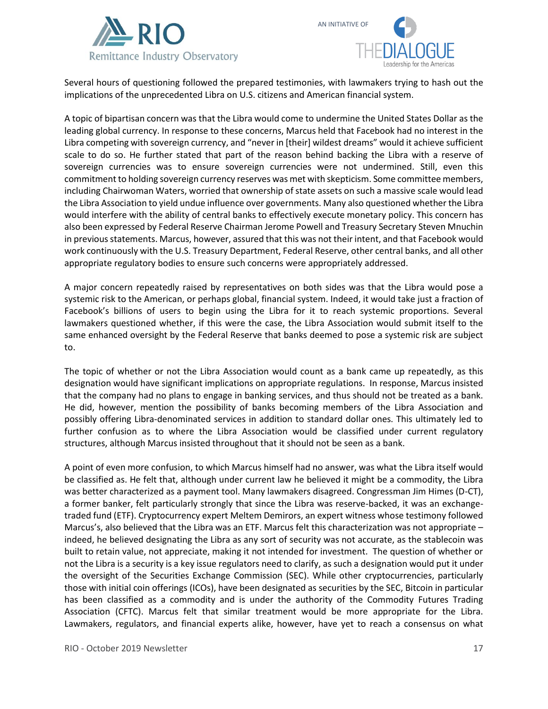



Several hours of questioning followed the prepared testimonies, with lawmakers trying to hash out the implications of the unprecedented Libra on U.S. citizens and American financial system.

A topic of bipartisan concern was that the Libra would come to undermine the United States Dollar as the leading global currency. In response to these concerns, Marcus held that Facebook had no interest in the Libra competing with sovereign currency, and "never in [their] wildest dreams" would it achieve sufficient scale to do so. He further stated that part of the reason behind backing the Libra with a reserve of sovereign currencies was to ensure sovereign currencies were not undermined. Still, even this commitment to holding sovereign currency reserves was met with skepticism. Some committee members, including Chairwoman Waters, worried that ownership of state assets on such a massive scale would lead the Libra Association to yield undue influence over governments. Many also questioned whether the Libra would interfere with the ability of central banks to effectively execute monetary policy. This concern has also been expressed by Federal Reserve Chairman Jerome Powell and Treasury Secretary Steven Mnuchin in previous statements. Marcus, however, assured that this was not their intent, and that Facebook would work continuously with the U.S. Treasury Department, Federal Reserve, other central banks, and all other appropriate regulatory bodies to ensure such concerns were appropriately addressed.

A major concern repeatedly raised by representatives on both sides was that the Libra would pose a systemic risk to the American, or perhaps global, financial system. Indeed, it would take just a fraction of Facebook's billions of users to begin using the Libra for it to reach systemic proportions. Several lawmakers questioned whether, if this were the case, the Libra Association would submit itself to the same enhanced oversight by the Federal Reserve that banks deemed to pose a systemic risk are subject to.

The topic of whether or not the Libra Association would count as a bank came up repeatedly, as this designation would have significant implications on appropriate regulations. In response, Marcus insisted that the company had no plans to engage in banking services, and thus should not be treated as a bank. He did, however, mention the possibility of banks becoming members of the Libra Association and possibly offering Libra-denominated services in addition to standard dollar ones. This ultimately led to further confusion as to where the Libra Association would be classified under current regulatory structures, although Marcus insisted throughout that it should not be seen as a bank.

A point of even more confusion, to which Marcus himself had no answer, was what the Libra itself would be classified as. He felt that, although under current law he believed it might be a commodity, the Libra was better characterized as a payment tool. Many lawmakers disagreed. Congressman Jim Himes (D-CT), a former banker, felt particularly strongly that since the Libra was reserve-backed, it was an exchangetraded fund (ETF). Cryptocurrency expert Meltem Demirors, an expert witness whose testimony followed Marcus's, also believed that the Libra was an ETF. Marcus felt this characterization was not appropriate – indeed, he believed designating the Libra as any sort of security was not accurate, as the stablecoin was built to retain value, not appreciate, making it not intended for investment. The question of whether or not the Libra is a security is a key issue regulators need to clarify, as such a designation would put it under the oversight of the Securities Exchange Commission (SEC). While other cryptocurrencies, particularly those with initial coin offerings (ICOs), have been designated as securities by the SEC, Bitcoin in particular has been classified as a commodity and is under the authority of the Commodity Futures Trading Association (CFTC). Marcus felt that similar treatment would be more appropriate for the Libra. Lawmakers, regulators, and financial experts alike, however, have yet to reach a consensus on what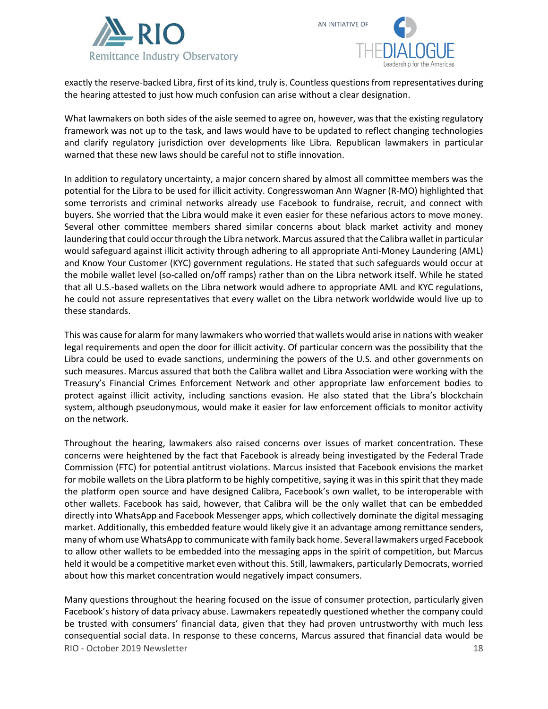



exactly the reserve-backed Libra, first of its kind, truly is. Countless questions from representatives during the hearing attested to just how much confusion can arise without a clear designation.

What lawmakers on both sides of the aisle seemed to agree on, however, was that the existing regulatory framework was not up to the task, and laws would have to be updated to reflect changing technologies and clarify regulatory jurisdiction over developments like Libra. Republican lawmakers in particular warned that these new laws should be careful not to stifle innovation.

In addition to regulatory uncertainty, a major concern shared by almost all committee members was the potential for the Libra to be used for illicit activity. Congresswoman Ann Wagner (R-MO) highlighted that some terrorists and criminal networks already use Facebook to fundraise, recruit, and connect with buyers. She worried that the Libra would make it even easier for these nefarious actors to move money. Several other committee members shared similar concerns about black market activity and money laundering that could occur through the Libra network. Marcus assured that the Calibra wallet in particular would safeguard against illicit activity through adhering to all appropriate Anti-Money Laundering (AML) and Know Your Customer (KYC) government regulations. He stated that such safeguards would occur at the mobile wallet level (so-called on/off ramps) rather than on the Libra network itself. While he stated that all U.S.-based wallets on the Libra network would adhere to appropriate AML and KYC regulations, he could not assure representatives that every wallet on the Libra network worldwide would live up to these standards.

This was cause for alarm for many lawmakers who worried that wallets would arise in nations with weaker legal requirements and open the door for illicit activity. Of particular concern was the possibility that the Libra could be used to evade sanctions, undermining the powers of the U.S. and other governments on such measures. Marcus assured that both the Calibra wallet and Libra Association were working with the Treasury's Financial Crimes Enforcement Network and other appropriate law enforcement bodies to protect against illicit activity, including sanctions evasion. He also stated that the Libra's blockchain system, although pseudonymous, would make it easier for law enforcement officials to monitor activity on the network.

Throughout the hearing, lawmakers also raised concerns over issues of market concentration. These concerns were heightened by the fact that Facebook is already being investigated by the Federal Trade Commission (FTC) for potential antitrust violations. Marcus insisted that Facebook envisions the market for mobile wallets on the Libra platform to be highly competitive, saying it was in this spirit that they made the platform open source and have designed Calibra, Facebook's own wallet, to be interoperable with other wallets. Facebook has said, however, that Calibra will be the only wallet that can be embedded directly into WhatsApp and Facebook Messenger apps, which collectively dominate the digital messaging market. Additionally, this embedded feature would likely give it an advantage among remittance senders, many of whom use WhatsApp to communicate with family back home. Several lawmakers urged Facebook to allow other wallets to be embedded into the messaging apps in the spirit of competition, but Marcus held it would be a competitive market even without this. Still, lawmakers, particularly Democrats, worried about how this market concentration would negatively impact consumers.

RIO - October 2019 Newsletter 18 Many questions throughout the hearing focused on the issue of consumer protection, particularly given Facebook's history of data privacy abuse. Lawmakers repeatedly questioned whether the company could be trusted with consumers' financial data, given that they had proven untrustworthy with much less consequential social data. In response to these concerns, Marcus assured that financial data would be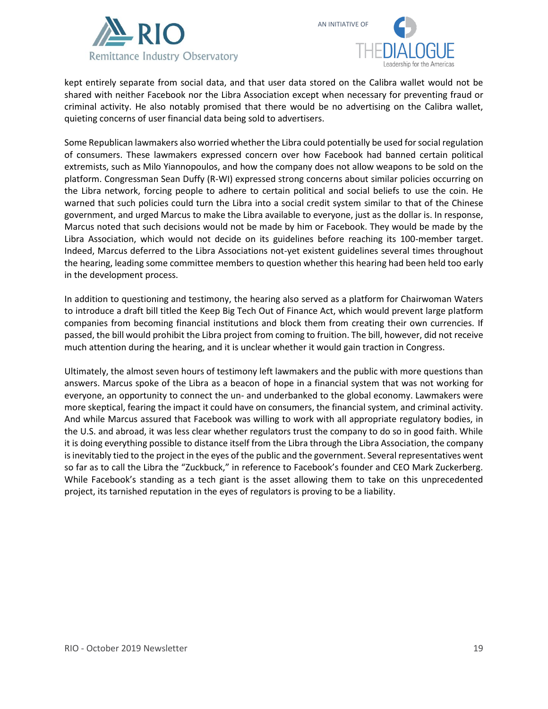



kept entirely separate from social data, and that user data stored on the Calibra wallet would not be shared with neither Facebook nor the Libra Association except when necessary for preventing fraud or criminal activity. He also notably promised that there would be no advertising on the Calibra wallet, quieting concerns of user financial data being sold to advertisers.

Some Republican lawmakers also worried whether the Libra could potentially be used for social regulation of consumers. These lawmakers expressed concern over how Facebook had banned certain political extremists, such as Milo Yiannopoulos, and how the company does not allow weapons to be sold on the platform. Congressman Sean Duffy (R-WI) expressed strong concerns about similar policies occurring on the Libra network, forcing people to adhere to certain political and social beliefs to use the coin. He warned that such policies could turn the Libra into a social credit system similar to that of the Chinese government, and urged Marcus to make the Libra available to everyone, just as the dollar is. In response, Marcus noted that such decisions would not be made by him or Facebook. They would be made by the Libra Association, which would not decide on its guidelines before reaching its 100-member target. Indeed, Marcus deferred to the Libra Associations not-yet existent guidelines several times throughout the hearing, leading some committee members to question whether this hearing had been held too early in the development process.

In addition to questioning and testimony, the hearing also served as a platform for Chairwoman Waters to introduce a draft bill titled the Keep Big Tech Out of Finance Act, which would prevent large platform companies from becoming financial institutions and block them from creating their own currencies. If passed, the bill would prohibit the Libra project from coming to fruition. The bill, however, did not receive much attention during the hearing, and it is unclear whether it would gain traction in Congress.

Ultimately, the almost seven hours of testimony left lawmakers and the public with more questions than answers. Marcus spoke of the Libra as a beacon of hope in a financial system that was not working for everyone, an opportunity to connect the un- and underbanked to the global economy. Lawmakers were more skeptical, fearing the impact it could have on consumers, the financial system, and criminal activity. And while Marcus assured that Facebook was willing to work with all appropriate regulatory bodies, in the U.S. and abroad, it was less clear whether regulators trust the company to do so in good faith. While it is doing everything possible to distance itself from the Libra through the Libra Association, the company is inevitably tied to the project in the eyes of the public and the government. Several representatives went so far as to call the Libra the "Zuckbuck," in reference to Facebook's founder and CEO Mark Zuckerberg. While Facebook's standing as a tech giant is the asset allowing them to take on this unprecedented project, its tarnished reputation in the eyes of regulators is proving to be a liability.